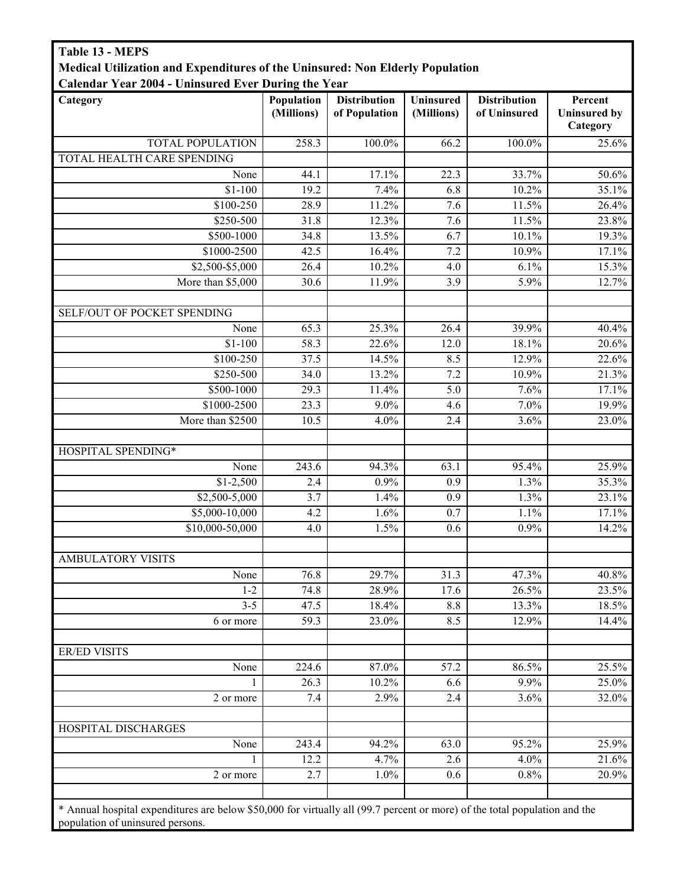## Table 13 - MEPS Medical Utilization and Expenditures of the Uninsured: Non Elderly Population Calendar Year 2004 - Uninsured Ever During the Year

| Calendar Year 2004 - Uninsured Ever During the Year |                          |                                      |                         |                                     |                                            |
|-----------------------------------------------------|--------------------------|--------------------------------------|-------------------------|-------------------------------------|--------------------------------------------|
| Category                                            | Population<br>(Millions) | <b>Distribution</b><br>of Population | Uninsured<br>(Millions) | <b>Distribution</b><br>of Uninsured | Percent<br><b>Uninsured by</b><br>Category |
| TOTAL POPULATION                                    | 258.3                    | 100.0%                               | 66.2                    | 100.0%                              | 25.6%                                      |
| TOTAL HEALTH CARE SPENDING                          |                          |                                      |                         |                                     |                                            |
| None                                                | 44.1                     | 17.1%                                | 22.3                    | 33.7%                               | 50.6%                                      |
| $$1-100$                                            | 19.2                     | 7.4%                                 | 6.8                     | 10.2%                               | 35.1%                                      |
| \$100-250                                           | 28.9                     | 11.2%                                | 7.6                     | 11.5%                               | 26.4%                                      |
| \$250-500                                           | 31.8                     | 12.3%                                | $\overline{7.6}$        | 11.5%                               | 23.8%                                      |
| \$500-1000                                          | 34.8                     | 13.5%                                | 6.7                     | 10.1%                               | 19.3%                                      |
| \$1000-2500                                         | 42.5                     | 16.4%                                | 7.2                     | 10.9%                               | 17.1%                                      |
| \$2,500-\$5,000                                     | 26.4                     | 10.2%                                | 4.0                     | 6.1%                                | 15.3%                                      |
| More than \$5,000                                   | 30.6                     | 11.9%                                | 3.9                     | 5.9%                                | 12.7%                                      |
| SELF/OUT OF POCKET SPENDING                         |                          |                                      |                         |                                     |                                            |
| None                                                | 65.3                     | 25.3%                                | 26.4                    | 39.9%                               | 40.4%                                      |
| $$1-100$                                            | 58.3                     | 22.6%                                | 12.0                    | 18.1%                               | 20.6%                                      |
| \$100-250                                           | 37.5                     | 14.5%                                | 8.5                     | 12.9%                               | 22.6%                                      |
| \$250-500                                           | 34.0                     | 13.2%                                | 7.2                     | 10.9%                               | 21.3%                                      |
| \$500-1000                                          | 29.3                     | 11.4%                                | 5.0                     | 7.6%                                | 17.1%                                      |
| \$1000-2500                                         | 23.3                     | $9.0\%$                              | 4.6                     | 7.0%                                | 19.9%                                      |
| More than \$2500                                    | 10.5                     | 4.0%                                 | 2.4                     | 3.6%                                | 23.0%                                      |
| HOSPITAL SPENDING*                                  |                          |                                      |                         |                                     |                                            |
| None                                                | 243.6                    | 94.3%                                | 63.1                    | 95.4%                               | 25.9%                                      |
| $$1-2,500$                                          | 2.4                      | 0.9%                                 | 0.9                     | 1.3%                                | 35.3%                                      |
| $$2,500-5,000$                                      | $\overline{3.7}$         | 1.4%                                 | 0.9                     | 1.3%                                | 23.1%                                      |
| \$5,000-10,000                                      | 4.2                      | 1.6%                                 | 0.7                     | 1.1%                                | 17.1%                                      |
| \$10,000-50,000                                     | 4.0                      | 1.5%                                 | 0.6                     | 0.9%                                | 14.2%                                      |
| <b>AMBULATORY VISITS</b>                            |                          |                                      |                         |                                     |                                            |
| None                                                | 76.8                     | 29.7%                                | 31.3                    | 47.3%                               | 40.8%                                      |
| $1 - 2$                                             | 74.8                     | 28.9%                                | 17.6                    | 26.5%                               | 23.5%                                      |
| $3 - 5$                                             | 47.5                     | 18.4%                                | 8.8                     | 13.3%                               | 18.5%                                      |
| 6 or more                                           | 59.3                     | 23.0%                                | 8.5                     | 12.9%                               | 14.4%                                      |
| <b>ER/ED VISITS</b>                                 |                          |                                      |                         |                                     |                                            |
| None                                                | 224.6                    | 87.0%                                | 57.2                    | 86.5%                               | 25.5%                                      |
| $\mathbf{1}$                                        | 26.3                     | 10.2%                                | 6.6                     | 9.9%                                | 25.0%                                      |
| 2 or more                                           | 7.4                      | 2.9%                                 | 2.4                     | 3.6%                                | 32.0%                                      |
| HOSPITAL DISCHARGES                                 |                          |                                      |                         |                                     |                                            |
| None                                                | 243.4                    | 94.2%                                | 63.0                    | 95.2%                               | 25.9%                                      |
| $\mathbf{1}$                                        | 12.2                     | 4.7%                                 | 2.6                     | 4.0%                                | 21.6%                                      |
| 2 or more                                           | 2.7                      | 1.0%                                 | 0.6                     | 0.8%                                | 20.9%                                      |
|                                                     |                          |                                      |                         |                                     |                                            |

\* Annual hospital expenditures are below \$50,000 for virtually all (99.7 percent or more) of the total population and the population of uninsured persons.